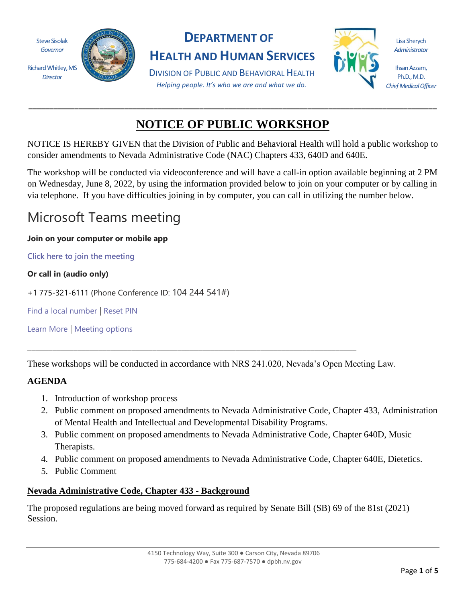

*Director*



### **DEPARTMENT OF**

**HEALTH AND HUMAN SERVICES**

DIVISION OF PUBLIC AND BEHAVIORAL HEALTH *Helping people. It's who we are and what we do.*



Lisa Sherych *Administrator*

Ihsan Azzam, Ph.D., M.D. *Chief Medical Officer*

## **NOTICE OF PUBLIC WORKSHOP**

**\_\_\_\_\_\_\_\_\_\_\_\_\_\_\_\_\_\_\_\_\_\_\_\_\_\_\_\_\_\_\_\_\_\_\_\_\_\_\_\_\_\_\_\_\_\_\_\_\_\_\_\_\_\_\_\_\_\_\_\_\_\_\_\_\_\_\_\_\_\_\_\_\_\_\_\_\_\_\_\_\_\_\_\_\_\_\_\_\_\_\_\_\_\_\_\_\_\_**

NOTICE IS HEREBY GIVEN that the Division of Public and Behavioral Health will hold a public workshop to consider amendments to Nevada Administrative Code (NAC) Chapters 433, 640D and 640E.

The workshop will be conducted via videoconference and will have a call-in option available beginning at 2 PM on Wednesday, June 8, 2022, by using the information provided below to join on your computer or by calling in via telephone. If you have difficulties joining in by computer, you can call in utilizing the number below.

# Microsoft Teams meeting

#### **Join on your computer or mobile app**

**[Click here to join the meeting](https://teams.microsoft.com/l/meetup-join/19%3ameeting_MWI2OGEwYWUtYzMzMC00OTdjLTg5YjQtZjg5NmI3ZWExNGZh%40thread.v2/0?context=%7b%22Tid%22%3a%22e4a340e6-b89e-4e68-8eaa-1544d2703980%22%2c%22Oid%22%3a%226de2d4c7-5f19-476a-bad7-b407d5559455%22%7d)**

#### **Or call in (audio only)**

+1 775-321-6111 (Phone Conference ID: 104 244 541#)

[Find a local number](https://dialin.teams.microsoft.com/1ef7fc5c-3859-4a06-ba30-c622c05e60f9?id=104244541) | [Reset PIN](https://mysettings.lync.com/pstnconferencing)

[Learn More](https://aka.ms/JoinTeamsMeeting) | [Meeting options](https://teams.microsoft.com/meetingOptions/?organizerId=6de2d4c7-5f19-476a-bad7-b407d5559455&tenantId=e4a340e6-b89e-4e68-8eaa-1544d2703980&threadId=19_meeting_MWI2OGEwYWUtYzMzMC00OTdjLTg5YjQtZjg5NmI3ZWExNGZh@thread.v2&messageId=0&language=en-US)

These workshops will be conducted in accordance with NRS 241.020, Nevada's Open Meeting Law.

\_\_\_\_\_\_\_\_\_\_\_\_\_\_\_\_\_\_\_\_\_\_\_\_\_\_\_\_\_\_\_\_\_\_\_\_\_\_\_\_\_\_\_\_\_\_\_\_\_\_\_\_\_\_\_\_\_\_\_\_\_\_\_\_\_\_\_\_\_\_\_\_\_\_\_\_\_\_\_

#### **AGENDA**

- 1. Introduction of workshop process
- 2. Public comment on proposed amendments to Nevada Administrative Code, Chapter 433, Administration of Mental Health and Intellectual and Developmental Disability Programs.
- 3. Public comment on proposed amendments to Nevada Administrative Code, Chapter 640D, Music Therapists.
- 4. Public comment on proposed amendments to Nevada Administrative Code, Chapter 640E, Dietetics.
- 5. Public Comment

#### **Nevada Administrative Code, Chapter 433 - Background**

The proposed regulations are being moved forward as required by Senate Bill (SB) 69 of the 81st (2021) Session.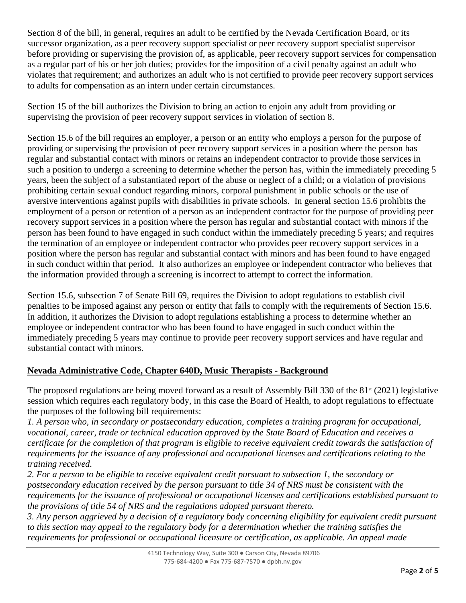Section 8 of the bill, in general, requires an adult to be certified by the Nevada Certification Board, or its successor organization, as a peer recovery support specialist or peer recovery support specialist supervisor before providing or supervising the provision of, as applicable, peer recovery support services for compensation as a regular part of his or her job duties; provides for the imposition of a civil penalty against an adult who violates that requirement; and authorizes an adult who is not certified to provide peer recovery support services to adults for compensation as an intern under certain circumstances.

Section 15 of the bill authorizes the Division to bring an action to enjoin any adult from providing or supervising the provision of peer recovery support services in violation of section 8.

Section 15.6 of the bill requires an employer, a person or an entity who employs a person for the purpose of providing or supervising the provision of peer recovery support services in a position where the person has regular and substantial contact with minors or retains an independent contractor to provide those services in such a position to undergo a screening to determine whether the person has, within the immediately preceding 5 years, been the subject of a substantiated report of the abuse or neglect of a child; or a violation of provisions prohibiting certain sexual conduct regarding minors, corporal punishment in public schools or the use of aversive interventions against pupils with disabilities in private schools. In general section 15.6 prohibits the employment of a person or retention of a person as an independent contractor for the purpose of providing peer recovery support services in a position where the person has regular and substantial contact with minors if the person has been found to have engaged in such conduct within the immediately preceding 5 years; and requires the termination of an employee or independent contractor who provides peer recovery support services in a position where the person has regular and substantial contact with minors and has been found to have engaged in such conduct within that period. It also authorizes an employee or independent contractor who believes that the information provided through a screening is incorrect to attempt to correct the information.

Section 15.6, subsection 7 of Senate Bill 69, requires the Division to adopt regulations to establish civil penalties to be imposed against any person or entity that fails to comply with the requirements of Section 15.6. In addition, it authorizes the Division to adopt regulations establishing a process to determine whether an employee or independent contractor who has been found to have engaged in such conduct within the immediately preceding 5 years may continue to provide peer recovery support services and have regular and substantial contact with minors.

#### **Nevada Administrative Code, Chapter 640D, Music Therapists - Background**

The proposed regulations are being moved forward as a result of Assembly Bill 330 of the  $81<sup>st</sup>$  (2021) legislative session which requires each regulatory body, in this case the Board of Health, to adopt regulations to effectuate the purposes of the following bill requirements:

*1. A person who, in secondary or postsecondary education, completes a training program for occupational, vocational, career, trade or technical education approved by the State Board of Education and receives a certificate for the completion of that program is eligible to receive equivalent credit towards the satisfaction of requirements for the issuance of any professional and occupational licenses and certifications relating to the training received.*

*2. For a person to be eligible to receive equivalent credit pursuant to subsection 1, the secondary or postsecondary education received by the person pursuant to title 34 of NRS must be consistent with the requirements for the issuance of professional or occupational licenses and certifications established pursuant to the provisions of title 54 of NRS and the regulations adopted pursuant thereto.*

*3. Any person aggrieved by a decision of a regulatory body concerning eligibility for equivalent credit pursuant to this section may appeal to the regulatory body for a determination whether the training satisfies the requirements for professional or occupational licensure or certification, as applicable. An appeal made*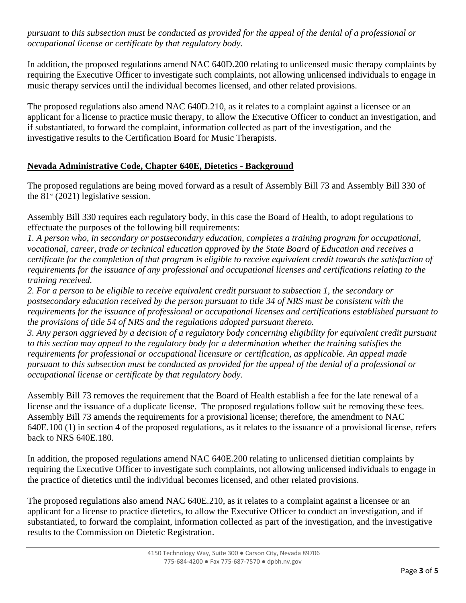*pursuant to this subsection must be conducted as provided for the appeal of the denial of a professional or occupational license or certificate by that regulatory body.*

In addition, the proposed regulations amend NAC 640D.200 relating to unlicensed music therapy complaints by requiring the Executive Officer to investigate such complaints, not allowing unlicensed individuals to engage in music therapy services until the individual becomes licensed, and other related provisions.

The proposed regulations also amend NAC 640D.210, as it relates to a complaint against a licensee or an applicant for a license to practice music therapy, to allow the Executive Officer to conduct an investigation, and if substantiated, to forward the complaint, information collected as part of the investigation, and the investigative results to the Certification Board for Music Therapists.

#### **Nevada Administrative Code, Chapter 640E, Dietetics - Background**

The proposed regulations are being moved forward as a result of Assembly Bill 73 and Assembly Bill 330 of the  $81<sup>st</sup>$  (2021) legislative session.

Assembly Bill 330 requires each regulatory body, in this case the Board of Health, to adopt regulations to effectuate the purposes of the following bill requirements:

*1. A person who, in secondary or postsecondary education, completes a training program for occupational, vocational, career, trade or technical education approved by the State Board of Education and receives a certificate for the completion of that program is eligible to receive equivalent credit towards the satisfaction of requirements for the issuance of any professional and occupational licenses and certifications relating to the training received.*

*2. For a person to be eligible to receive equivalent credit pursuant to subsection 1, the secondary or postsecondary education received by the person pursuant to title 34 of NRS must be consistent with the requirements for the issuance of professional or occupational licenses and certifications established pursuant to the provisions of title 54 of NRS and the regulations adopted pursuant thereto.*

*3. Any person aggrieved by a decision of a regulatory body concerning eligibility for equivalent credit pursuant to this section may appeal to the regulatory body for a determination whether the training satisfies the requirements for professional or occupational licensure or certification, as applicable. An appeal made pursuant to this subsection must be conducted as provided for the appeal of the denial of a professional or occupational license or certificate by that regulatory body.*

Assembly Bill 73 removes the requirement that the Board of Health establish a fee for the late renewal of a license and the issuance of a duplicate license. The proposed regulations follow suit be removing these fees. Assembly Bill 73 amends the requirements for a provisional license; therefore, the amendment to NAC 640E.100 (1) in section 4 of the proposed regulations, as it relates to the issuance of a provisional license, refers back to NRS 640E.180.

In addition, the proposed regulations amend NAC 640E.200 relating to unlicensed dietitian complaints by requiring the Executive Officer to investigate such complaints, not allowing unlicensed individuals to engage in the practice of dietetics until the individual becomes licensed, and other related provisions.

The proposed regulations also amend NAC 640E.210, as it relates to a complaint against a licensee or an applicant for a license to practice dietetics, to allow the Executive Officer to conduct an investigation, and if substantiated, to forward the complaint, information collected as part of the investigation, and the investigative results to the Commission on Dietetic Registration.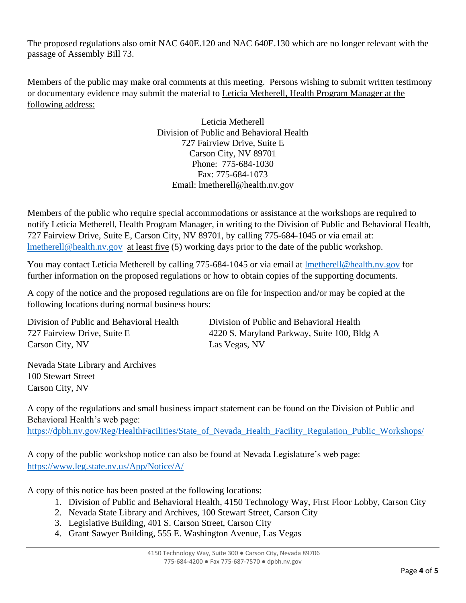The proposed regulations also omit NAC 640E.120 and NAC 640E.130 which are no longer relevant with the passage of Assembly Bill 73.

Members of the public may make oral comments at this meeting. Persons wishing to submit written testimony or documentary evidence may submit the material to Leticia Metherell, Health Program Manager at the following address:

> Leticia Metherell Division of Public and Behavioral Health 727 Fairview Drive, Suite E Carson City, NV 89701 Phone: 775-684-1030 Fax: 775-684-1073 Email: lmetherell@health.nv.gov

Members of the public who require special accommodations or assistance at the workshops are required to notify Leticia Metherell, Health Program Manager, in writing to the Division of Public and Behavioral Health, 727 Fairview Drive, Suite E, Carson City, NV 89701, by calling 775-684-1045 or via email at: [lmetherell@health.nv.gov](mailto:lmetherell@health.nv.gov) at least five (5) working days prior to the date of the public workshop.

You may contact Leticia Metherell by calling 775-684-1045 or via email at Imetherell@health.nv.gov for further information on the proposed regulations or how to obtain copies of the supporting documents.

A copy of the notice and the proposed regulations are on file for inspection and/or may be copied at the following locations during normal business hours:

Division of Public and Behavioral Health Division of Public and Behavioral Health Carson City, NV Las Vegas, NV

727 Fairview Drive, Suite E 4220 S. Maryland Parkway, Suite 100, Bldg A

Nevada State Library and Archives 100 Stewart Street Carson City, NV

A copy of the regulations and small business impact statement can be found on the Division of Public and Behavioral Health's web page:

[https://dpbh.nv.gov/Reg/HealthFacilities/State\\_of\\_Nevada\\_Health\\_Facility\\_Regulation\\_Public\\_Workshops/](https://dpbh.nv.gov/Reg/HealthFacilities/State_of_Nevada_Health_Facility_Regulation_Public_Workshops/)

A copy of the public workshop notice can also be found at Nevada Legislature's web page: <https://www.leg.state.nv.us/App/Notice/A/>

A copy of this notice has been posted at the following locations:

- 1. Division of Public and Behavioral Health, 4150 Technology Way, First Floor Lobby, Carson City
- 2. Nevada State Library and Archives, 100 Stewart Street, Carson City
- 3. Legislative Building, 401 S. Carson Street, Carson City
- 4. Grant Sawyer Building, 555 E. Washington Avenue, Las Vegas